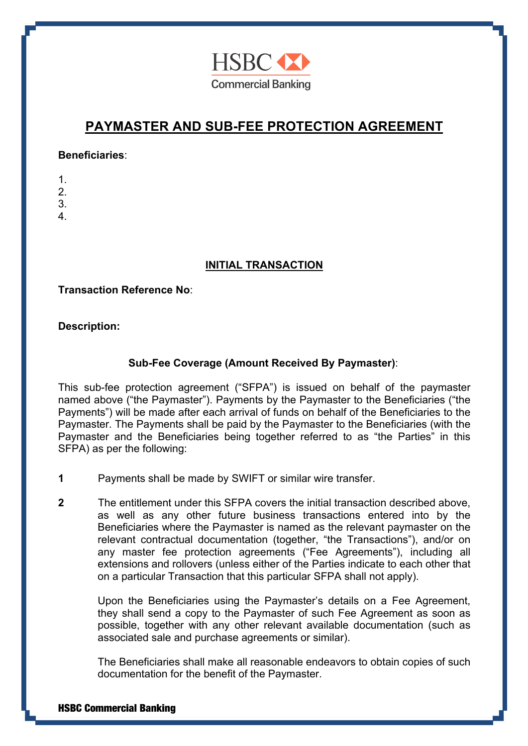

# **PAYMASTER AND SUB-FEE PROTECTION AGREEMENT**

#### **Beneficiaries**:

- 1.  $\mathcal{P}$
- 3.
- 
- 4.

## **INITIAL TRANSACTION**

## **Transaction Reference No**:

## **Description:**

## **Sub-Fee Coverage (Amount Received By Paymaster)**:

This sub-fee protection agreement ("SFPA") is issued on behalf of the paymaster named above ("the Paymaster"). Payments by the Paymaster to the Beneficiaries ("the Payments") will be made after each arrival of funds on behalf of the Beneficiaries to the Paymaster. The Payments shall be paid by the Paymaster to the Beneficiaries (with the Paymaster and the Beneficiaries being together referred to as "the Parties" in this SFPA) as per the following:

- **1** Payments shall be made by SWIFT or similar wire transfer.
- **2** The entitlement under this SFPA covers the initial transaction described above, as well as any other future business transactions entered into by the Beneficiaries where the Paymaster is named as the relevant paymaster on the relevant contractual documentation (together, "the Transactions"), and/or on any master fee protection agreements ("Fee Agreements"), including all extensions and rollovers (unless either of the Parties indicate to each other that on a particular Transaction that this particular SFPA shall not apply).

Upon the Beneficiaries using the Paymaster's details on a Fee Agreement, they shall send a copy to the Paymaster of such Fee Agreement as soon as possible, together with any other relevant available documentation (such as associated sale and purchase agreements or similar).

The Beneficiaries shall make all reasonable endeavors to obtain copies of such documentation for the benefit of the Paymaster.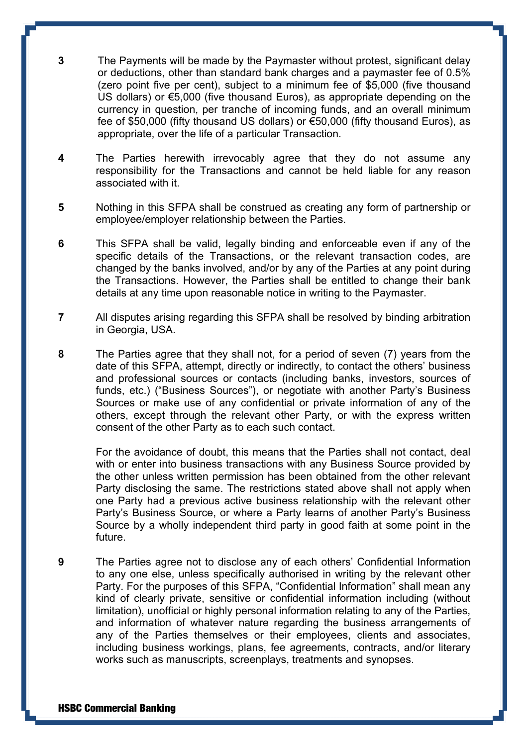**3** The Payments will be made by the Paymaster without protest, significant delay or deductions, other than standard bank charges and a paymaster fee of 0.5% (zero point five per cent), subject to a minimum fee of \$5,000 (five thousand US dollars) or €5,000 (five thousand Euros), as appropriate depending on the currency in question, per tranche of incoming funds, and an overall minimum fee of \$50,000 (fifty thousand US dollars) or €50,000 (fifty thousand Euros), as appropriate, over the life of a particular Transaction.

- **4** The Parties herewith irrevocably agree that they do not assume any responsibility for the Transactions and cannot be held liable for any reason associated with it.
- **5** Nothing in this SFPA shall be construed as creating any form of partnership or employee/employer relationship between the Parties.
- **6** This SFPA shall be valid, legally binding and enforceable even if any of the specific details of the Transactions, or the relevant transaction codes, are changed by the banks involved, and/or by any of the Parties at any point during the Transactions. However, the Parties shall be entitled to change their bank details at any time upon reasonable notice in writing to the Paymaster.
- **7** All disputes arising regarding this SFPA shall be resolved by binding arbitration in Georgia, USA.
- **8** The Parties agree that they shall not, for a period of seven (7) years from the date of this SFPA, attempt, directly or indirectly, to contact the others' business and professional sources or contacts (including banks, investors, sources of funds, etc.) ("Business Sources"), or negotiate with another Party's Business Sources or make use of any confidential or private information of any of the others, except through the relevant other Party, or with the express written consent of the other Party as to each such contact.

For the avoidance of doubt, this means that the Parties shall not contact, deal with or enter into business transactions with any Business Source provided by the other unless written permission has been obtained from the other relevant Party disclosing the same. The restrictions stated above shall not apply when one Party had a previous active business relationship with the relevant other Party's Business Source, or where a Party learns of another Party's Business Source by a wholly independent third party in good faith at some point in the future.

**9** The Parties agree not to disclose any of each others' Confidential Information to any one else, unless specifically authorised in writing by the relevant other Party. For the purposes of this SFPA, "Confidential Information" shall mean any kind of clearly private, sensitive or confidential information including (without limitation), unofficial or highly personal information relating to any of the Parties, and information of whatever nature regarding the business arrangements of any of the Parties themselves or their employees, clients and associates, including business workings, plans, fee agreements, contracts, and/or literary works such as manuscripts, screenplays, treatments and synopses.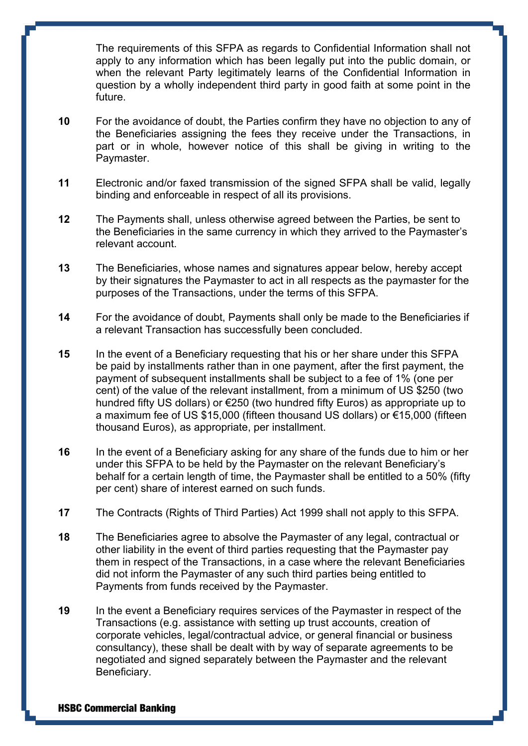The requirements of this SFPA as regards to Confidential Information shall not apply to any information which has been legally put into the public domain, or when the relevant Party legitimately learns of the Confidential Information in question by a wholly independent third party in good faith at some point in the future.

- **10** For the avoidance of doubt, the Parties confirm they have no objection to any of the Beneficiaries assigning the fees they receive under the Transactions, in part or in whole, however notice of this shall be giving in writing to the Paymaster.
- **11** Electronic and/or faxed transmission of the signed SFPA shall be valid, legally binding and enforceable in respect of all its provisions.
- **12** The Payments shall, unless otherwise agreed between the Parties, be sent to the Beneficiaries in the same currency in which they arrived to the Paymaster's relevant account.
- **13** The Beneficiaries, whose names and signatures appear below, hereby accept by their signatures the Paymaster to act in all respects as the paymaster for the purposes of the Transactions, under the terms of this SFPA.
- **14** For the avoidance of doubt, Payments shall only be made to the Beneficiaries if a relevant Transaction has successfully been concluded.
- **15** In the event of a Beneficiary requesting that his or her share under this SFPA be paid by installments rather than in one payment, after the first payment, the payment of subsequent installments shall be subject to a fee of 1% (one per cent) of the value of the relevant installment, from a minimum of US \$250 (two hundred fifty US dollars) or €250 (two hundred fifty Euros) as appropriate up to a maximum fee of US \$15,000 (fifteen thousand US dollars) or €15,000 (fifteen thousand Euros), as appropriate, per installment.
- **16** In the event of a Beneficiary asking for any share of the funds due to him or her under this SFPA to be held by the Paymaster on the relevant Beneficiary's behalf for a certain length of time, the Paymaster shall be entitled to a 50% (fifty per cent) share of interest earned on such funds.
- **17** The Contracts (Rights of Third Parties) Act 1999 shall not apply to this SFPA.
- **18** The Beneficiaries agree to absolve the Paymaster of any legal, contractual or other liability in the event of third parties requesting that the Paymaster pay them in respect of the Transactions, in a case where the relevant Beneficiaries did not inform the Paymaster of any such third parties being entitled to Payments from funds received by the Paymaster.
- **19** In the event a Beneficiary requires services of the Paymaster in respect of the Transactions (e.g. assistance with setting up trust accounts, creation of corporate vehicles, legal/contractual advice, or general financial or business consultancy), these shall be dealt with by way of separate agreements to be negotiated and signed separately between the Paymaster and the relevant Beneficiary.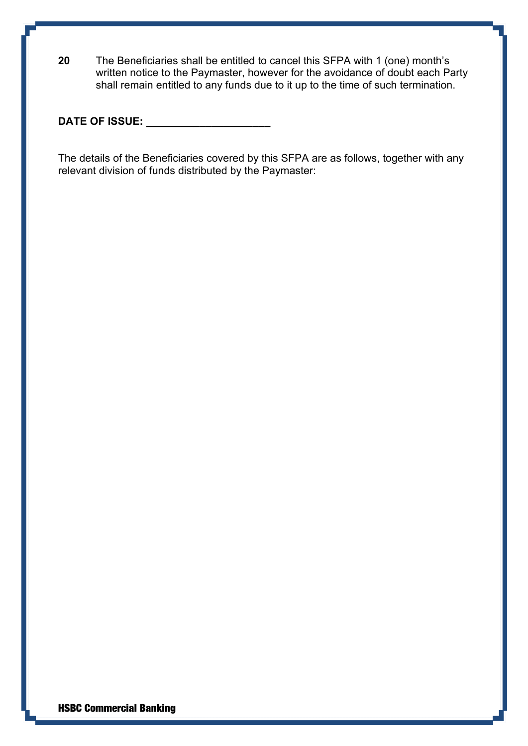**20** The Beneficiaries shall be entitled to cancel this SFPA with 1 (one) month's written notice to the Paymaster, however for the avoidance of doubt each Party shall remain entitled to any funds due to it up to the time of such termination.

**DATE OF ISSUE: \_\_\_\_\_\_\_\_\_\_\_\_\_\_\_\_\_\_\_\_\_**

The details of the Beneficiaries covered by this SFPA are as follows, together with any relevant division of funds distributed by the Paymaster: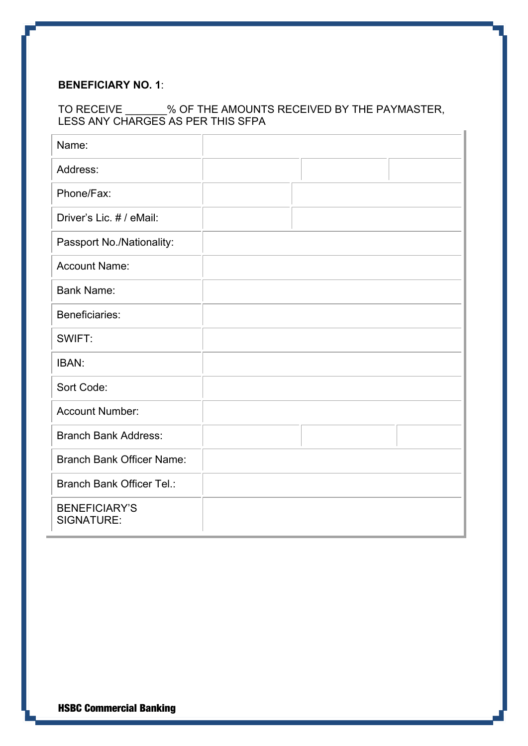#### **BENEFICIARY NO. 1**:

## TO RECEIVE \_\_\_\_\_\_\_% OF THE AMOUNTS RECEIVED BY THE PAYMASTER, LESS ANY CHARGES AS PER THIS SFPA

| Name:                              |  |  |
|------------------------------------|--|--|
| Address:                           |  |  |
| Phone/Fax:                         |  |  |
| Driver's Lic. # / eMail:           |  |  |
| Passport No./Nationality:          |  |  |
| <b>Account Name:</b>               |  |  |
| <b>Bank Name:</b>                  |  |  |
| Beneficiaries:                     |  |  |
| SWIFT:                             |  |  |
| IBAN:                              |  |  |
| Sort Code:                         |  |  |
| <b>Account Number:</b>             |  |  |
| <b>Branch Bank Address:</b>        |  |  |
| <b>Branch Bank Officer Name:</b>   |  |  |
| <b>Branch Bank Officer Tel.:</b>   |  |  |
| <b>BENEFICIARY'S</b><br>SIGNATURE: |  |  |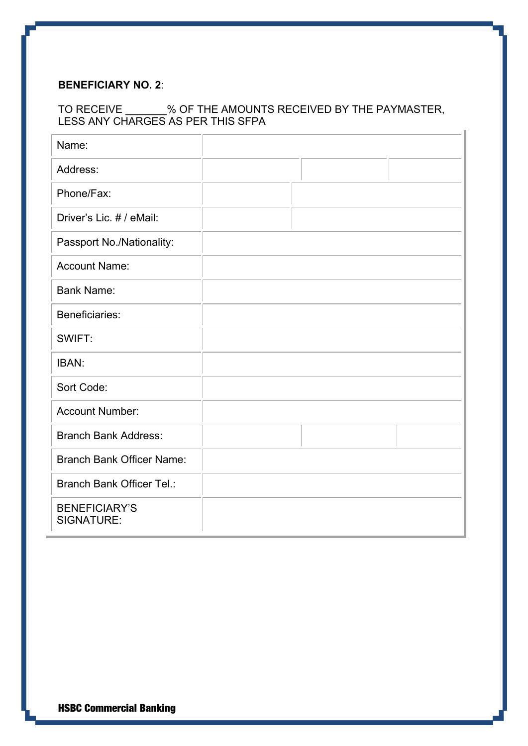## **BENEFICIARY NO. 2**:

## TO RECEIVE \_\_\_\_\_\_\_% OF THE AMOUNTS RECEIVED BY THE PAYMASTER, LESS ANY CHARGES AS PER THIS SFPA

| Name:                              |  |  |
|------------------------------------|--|--|
| Address:                           |  |  |
| Phone/Fax:                         |  |  |
| Driver's Lic. # / eMail:           |  |  |
| Passport No./Nationality:          |  |  |
| <b>Account Name:</b>               |  |  |
| <b>Bank Name:</b>                  |  |  |
| Beneficiaries:                     |  |  |
| SWIFT:                             |  |  |
| IBAN:                              |  |  |
| Sort Code:                         |  |  |
| <b>Account Number:</b>             |  |  |
| <b>Branch Bank Address:</b>        |  |  |
| <b>Branch Bank Officer Name:</b>   |  |  |
| <b>Branch Bank Officer Tel.:</b>   |  |  |
| <b>BENEFICIARY'S</b><br>SIGNATURE: |  |  |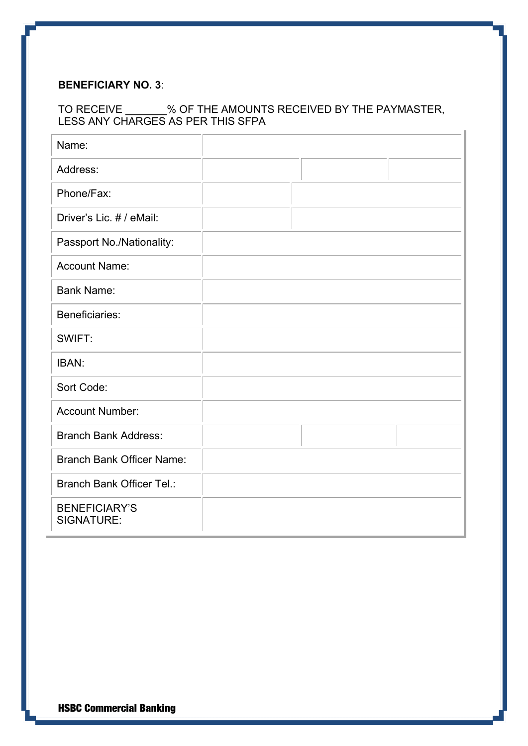#### **BENEFICIARY NO. 3**:

## TO RECEIVE \_\_\_\_\_\_\_% OF THE AMOUNTS RECEIVED BY THE PAYMASTER, LESS ANY CHARGES AS PER THIS SFPA

| Name:                              |  |  |
|------------------------------------|--|--|
| Address:                           |  |  |
| Phone/Fax:                         |  |  |
| Driver's Lic. # / eMail:           |  |  |
| Passport No./Nationality:          |  |  |
| <b>Account Name:</b>               |  |  |
| <b>Bank Name:</b>                  |  |  |
| Beneficiaries:                     |  |  |
| SWIFT:                             |  |  |
| IBAN:                              |  |  |
| Sort Code:                         |  |  |
| <b>Account Number:</b>             |  |  |
| <b>Branch Bank Address:</b>        |  |  |
| <b>Branch Bank Officer Name:</b>   |  |  |
| <b>Branch Bank Officer Tel.:</b>   |  |  |
| <b>BENEFICIARY'S</b><br>SIGNATURE: |  |  |